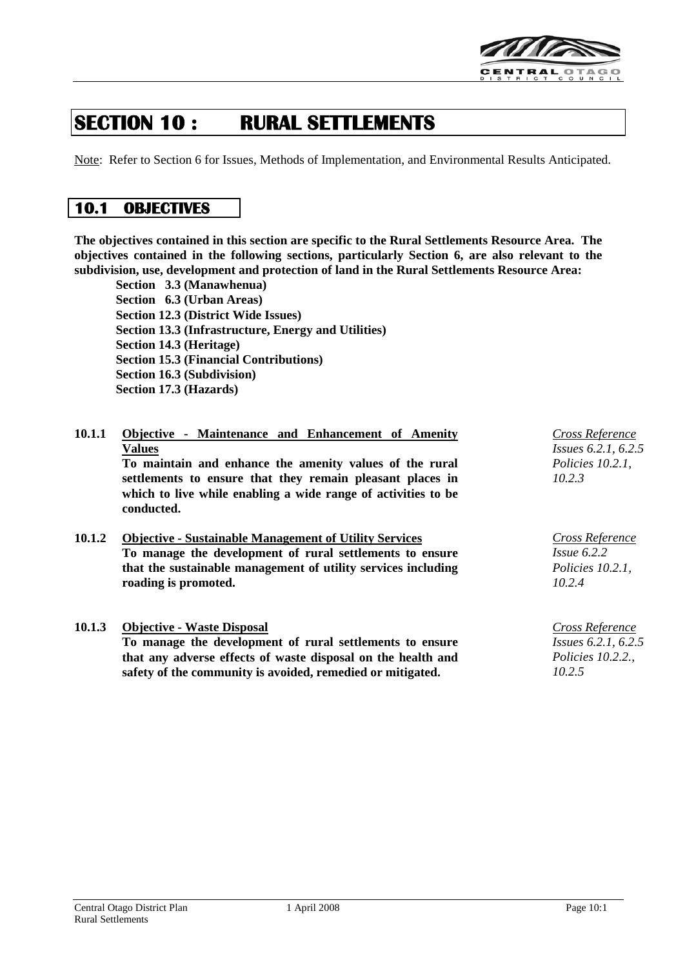

# **SECTION 10 : RURAL SETTLEMENTS**

Note: Refer to Section 6 for Issues, Methods of Implementation, and Environmental Results Anticipated.

## **10.1 OBJECTIVES**

**The objectives contained in this section are specific to the Rural Settlements Resource Area. The objectives contained in the following sections, particularly Section 6, are also relevant to the subdivision, use, development and protection of land in the Rural Settlements Resource Area:**

**Section 3.3 (Manawhenua) Section 6.3 (Urban Areas) Section 12.3 (District Wide Issues) Section 13.3 (Infrastructure, Energy and Utilities) Section 14.3 (Heritage) Section 15.3 (Financial Contributions) Section 16.3 (Subdivision) Section 17.3 (Hazards)**

| 10.1.1 | Objective - Maintenance and Enhancement of Amenity            | <b>Cross Reference</b>     |
|--------|---------------------------------------------------------------|----------------------------|
|        | <b>Values</b>                                                 | <i>Issues</i> 6.2.1, 6.2.5 |
|        | To maintain and enhance the amenity values of the rural       | Policies $10.2.1$ ,        |
|        | settlements to ensure that they remain pleasant places in     | 10.2.3                     |
|        | which to live while enabling a wide range of activities to be |                            |

**10.1.2 Objective - Sustainable Management of Utility Services To manage the development of rural settlements to ensure that the sustainable management of utility services including roading is promoted.**

### **10.1.3 Objective - Waste Disposal**

**conducted.**

**To manage the development of rural settlements to ensure that any adverse effects of waste disposal on the health and safety of the community is avoided, remedied or mitigated.**

*Cross Reference Issue 6.2.2 Policies 10.2.1, 10.2.4*

*Cross Reference Issues 6.2.1, 6.2.5 Policies 10.2.2., 10.2.5*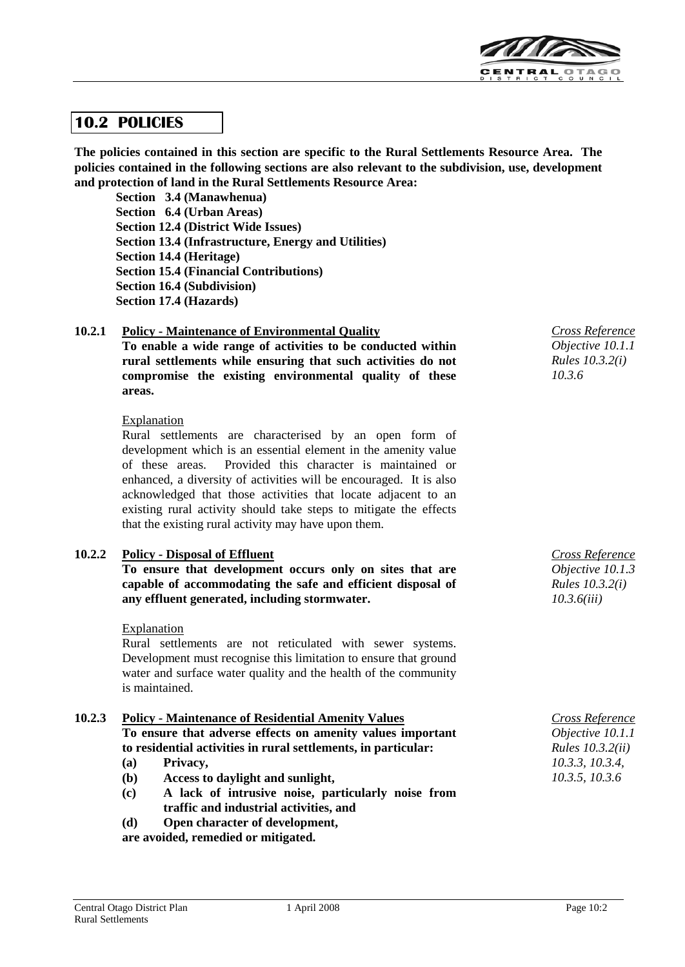

## **10.2 POLICIES**

**The policies contained in this section are specific to the Rural Settlements Resource Area. The policies contained in the following sections are also relevant to the subdivision, use, development and protection of land in the Rural Settlements Resource Area:**

**Section 3.4 (Manawhenua) Section 6.4 (Urban Areas) Section 12.4 (District Wide Issues) Section 13.4 (Infrastructure, Energy and Utilities) Section 14.4 (Heritage) Section 15.4 (Financial Contributions) Section 16.4 (Subdivision) Section 17.4 (Hazards)**

**10.2.1 Policy - Maintenance of Environmental Quality**

**To enable a wide range of activities to be conducted within rural settlements while ensuring that such activities do not compromise the existing environmental quality of these areas.** 

#### **Explanation**

Rural settlements are characterised by an open form of development which is an essential element in the amenity value of these areas. Provided this character is maintained or enhanced, a diversity of activities will be encouraged. It is also acknowledged that those activities that locate adjacent to an existing rural activity should take steps to mitigate the effects that the existing rural activity may have upon them.

#### **10.2.2 Policy - Disposal of Effluent**

**To ensure that development occurs only on sites that are capable of accommodating the safe and efficient disposal of any effluent generated, including stormwater.**

#### Explanation

Rural settlements are not reticulated with sewer systems. Development must recognise this limitation to ensure that ground water and surface water quality and the health of the community is maintained.

#### **10.2.3 Policy - Maintenance of Residential Amenity Values To ensure that adverse effects on amenity values important to residential activities in rural settlements, in particular:**

- **(a) Privacy,**
- **(b) Access to daylight and sunlight,**
- **(c) A lack of intrusive noise, particularly noise from traffic and industrial activities, and**
- **(d) Open character of development,**

**are avoided, remedied or mitigated.**

*Cross Reference Objective 10.1.1 Rules 10.3.2(i) 10.3.6*

*Cross Reference Objective 10.1.3 Rules 10.3.2(i) 10.3.6(iii)*

*Cross Reference Objective 10.1.1 Rules 10.3.2(ii) 10.3.3, 10.3.4, 10.3.5, 10.3.6*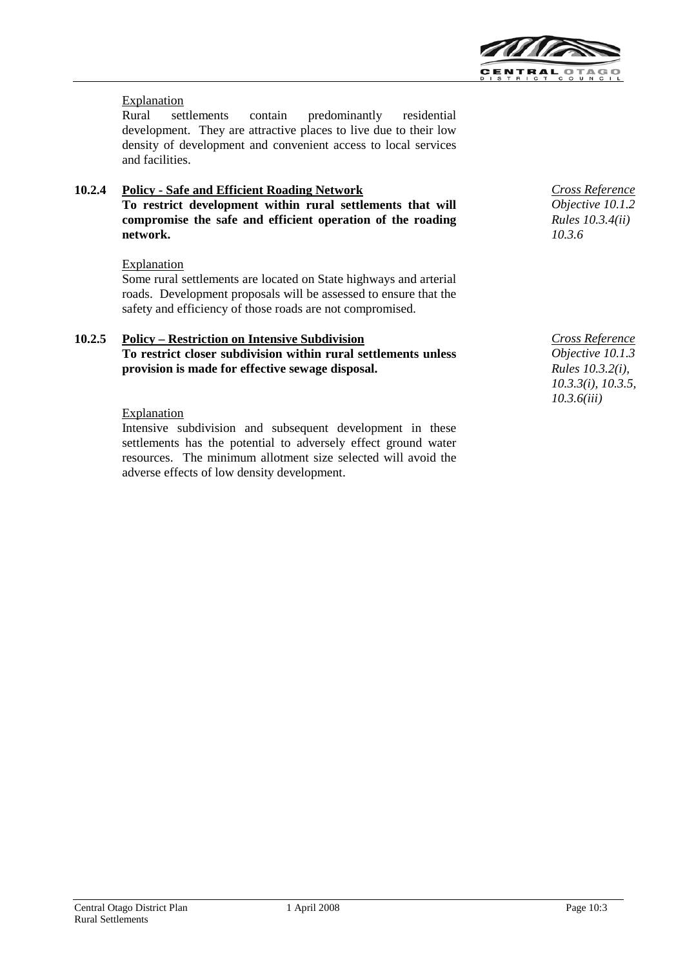

### **Explanation**

Rural settlements contain predominantly residential development. They are attractive places to live due to their low density of development and convenient access to local services and facilities.

### **10.2.4 Policy - Safe and Efficient Roading Network To restrict development within rural settlements that will compromise the safe and efficient operation of the roading network.**

#### **Explanation**

Some rural settlements are located on State highways and arterial roads. Development proposals will be assessed to ensure that the safety and efficiency of those roads are not compromised.

## **10.2.5 Policy – Restriction on Intensive Subdivision To restrict closer subdivision within rural settlements unless provision is made for effective sewage disposal.**

#### **Explanation**

Intensive subdivision and subsequent development in these settlements has the potential to adversely effect ground water resources. The minimum allotment size selected will avoid the adverse effects of low density development.

*Cross Reference Objective 10.1.2 Rules 10.3.4(ii) 10.3.6*

*Cross Reference Objective 10.1.3 Rules 10.3.2(i), 10.3.3(i), 10.3.5, 10.3.6(iii)*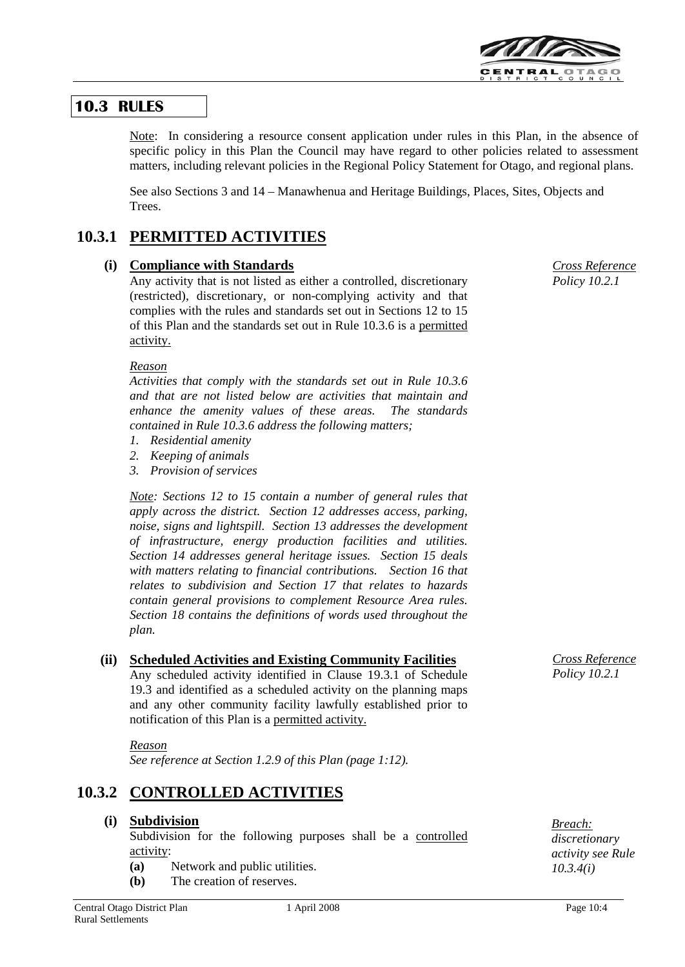

## **10.3 RULES**

Note: In considering a resource consent application under rules in this Plan, in the absence of specific policy in this Plan the Council may have regard to other policies related to assessment matters, including relevant policies in the Regional Policy Statement for Otago, and regional plans.

See also Sections 3 and 14 – Manawhenua and Heritage Buildings, Places, Sites, Objects and Trees.

## **10.3.1 PERMITTED ACTIVITIES**

## **(i) Compliance with Standards**

Any activity that is not listed as either a controlled, discretionary (restricted), discretionary, or non-complying activity and that complies with the rules and standards set out in Sections 12 to 15 of this Plan and the standards set out in Rule 10.3.6 is a permitted activity.

#### *Reason*

*Activities that comply with the standards set out in Rule 10.3.6 and that are not listed below are activities that maintain and enhance the amenity values of these areas. The standards contained in Rule 10.3.6 address the following matters;*

- *1. Residential amenity*
- *2. Keeping of animals*
- *3. Provision of services*

*Note: Sections 12 to 15 contain a number of general rules that apply across the district. Section 12 addresses access, parking, noise, signs and lightspill. Section 13 addresses the development of infrastructure, energy production facilities and utilities. Section 14 addresses general heritage issues. Section 15 deals with matters relating to financial contributions. Section 16 that relates to subdivision and Section 17 that relates to hazards contain general provisions to complement Resource Area rules. Section 18 contains the definitions of words used throughout the plan.*

## **(ii) Scheduled Activities and Existing Community Facilities**

Any scheduled activity identified in Clause 19.3.1 of Schedule 19.3 and identified as a scheduled activity on the planning maps and any other community facility lawfully established prior to notification of this Plan is a permitted activity.

#### *Reason*

*See reference at Section 1.2.9 of this Plan (page 1:12).*

## **10.3.2 CONTROLLED ACTIVITIES**

### **(i) Subdivision**

Subdivision for the following purposes shall be a controlled activity:

- **(a)** Network and public utilities.
- **(b)** The creation of reserves.

*Cross Reference Policy 10.2.1*

*Cross Reference Policy 10.2.1*

*Breach: discretionary activity see Rule 10.3.4(i)*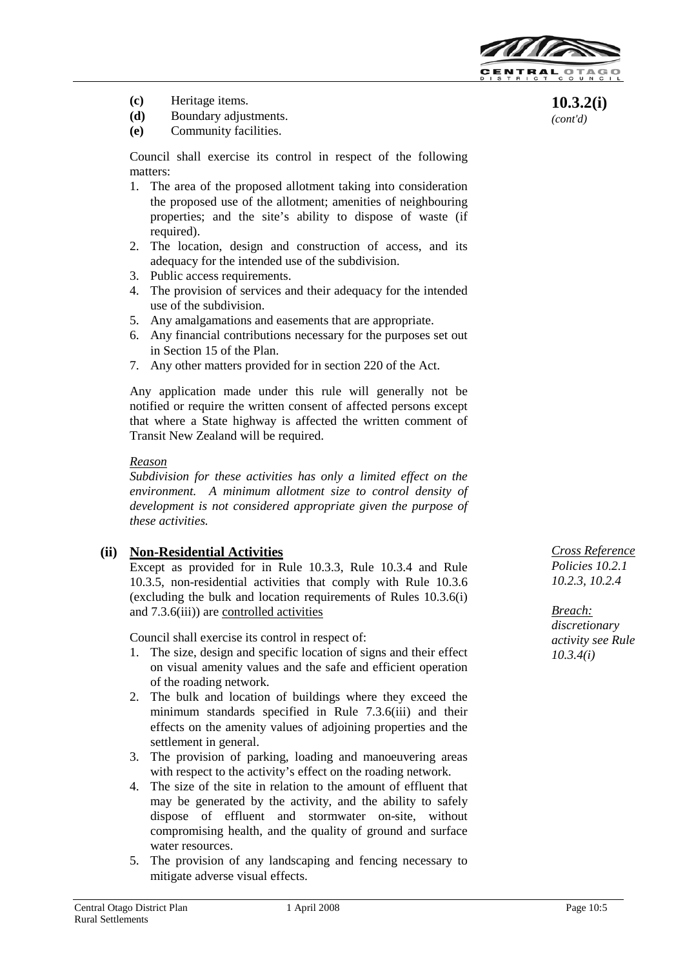

**10.3.2(i)** *(cont'd)*

- **(c)** Heritage items.
- **(d)** Boundary adjustments.
- **(e)** Community facilities.

Council shall exercise its control in respect of the following matters:

- 1. The area of the proposed allotment taking into consideration the proposed use of the allotment; amenities of neighbouring properties; and the site's ability to dispose of waste (if required).
- 2. The location, design and construction of access, and its adequacy for the intended use of the subdivision.
- 3. Public access requirements.
- 4. The provision of services and their adequacy for the intended use of the subdivision.
- 5. Any amalgamations and easements that are appropriate.
- 6. Any financial contributions necessary for the purposes set out in Section 15 of the Plan.
- 7. Any other matters provided for in section 220 of the Act.

Any application made under this rule will generally not be notified or require the written consent of affected persons except that where a State highway is affected the written comment of Transit New Zealand will be required.

#### *Reason*

*Subdivision for these activities has only a limited effect on the environment. A minimum allotment size to control density of development is not considered appropriate given the purpose of these activities.*

## **(ii) Non-Residential Activities**

Except as provided for in Rule 10.3.3, Rule 10.3.4 and Rule 10.3.5, non-residential activities that comply with Rule 10.3.6 (excluding the bulk and location requirements of Rules 10.3.6(i) and 7.3.6(iii)) are controlled activities

Council shall exercise its control in respect of:

- 1. The size, design and specific location of signs and their effect on visual amenity values and the safe and efficient operation of the roading network.
- 2. The bulk and location of buildings where they exceed the minimum standards specified in Rule 7.3.6(iii) and their effects on the amenity values of adjoining properties and the settlement in general.
- 3. The provision of parking, loading and manoeuvering areas with respect to the activity's effect on the roading network.
- 4. The size of the site in relation to the amount of effluent that may be generated by the activity, and the ability to safely dispose of effluent and stormwater on-site, without compromising health, and the quality of ground and surface water resources.
- 5. The provision of any landscaping and fencing necessary to mitigate adverse visual effects.

*Cross Reference Policies 10.2.1 10.2.3, 10.2.4*

*Breach: discretionary activity see Rule 10.3.4(i)*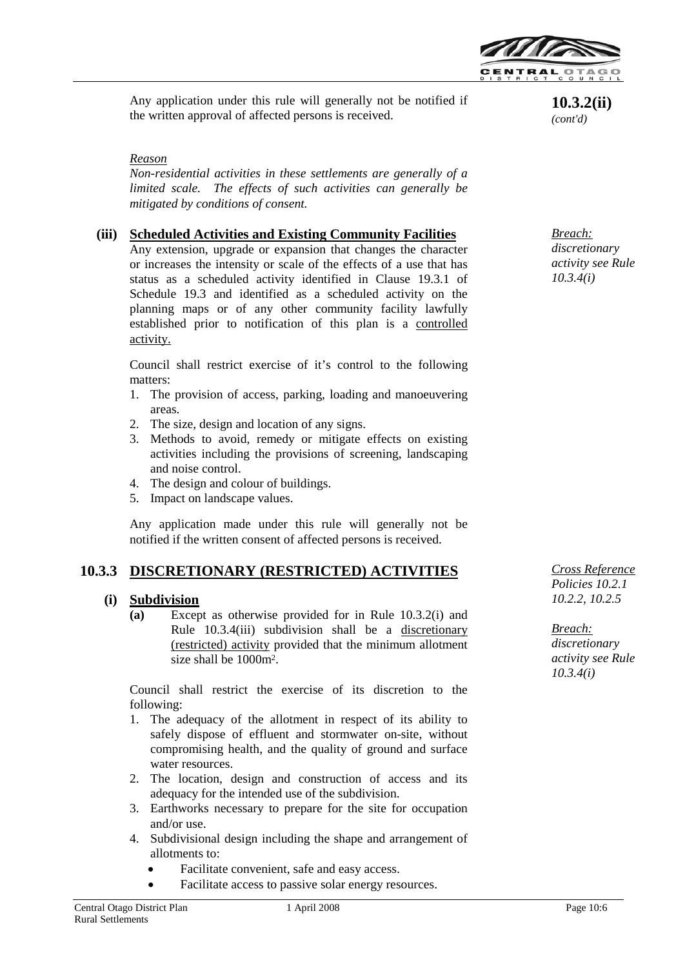

Any application under this rule will generally not be notified if **10.3.2(ii)**<br>the written approval of affected persons is received. (*cont'd*)

#### *Reason*

*Non-residential activities in these settlements are generally of a limited scale. The effects of such activities can generally be mitigated by conditions of consent.*

### **(iii) Scheduled Activities and Existing Community Facilities**

Any extension, upgrade or expansion that changes the character or increases the intensity or scale of the effects of a use that has status as a scheduled activity identified in Clause 19.3.1 of Schedule 19.3 and identified as a scheduled activity on the planning maps or of any other community facility lawfully established prior to notification of this plan is a controlled activity.

Council shall restrict exercise of it's control to the following matters:

- 1. The provision of access, parking, loading and manoeuvering areas.
- 2. The size, design and location of any signs.
- 3. Methods to avoid, remedy or mitigate effects on existing activities including the provisions of screening, landscaping and noise control.
- 4. The design and colour of buildings.
- 5. Impact on landscape values.

Any application made under this rule will generally not be notified if the written consent of affected persons is received.

## **10.3.3 DISCRETIONARY (RESTRICTED) ACTIVITIES**

#### **(i) Subdivision**

**(a)** Except as otherwise provided for in Rule 10.3.2(i) and Rule 10.3.4(iii) subdivision shall be a discretionary (restricted) activity provided that the minimum allotment size shall be 1000m2.

Council shall restrict the exercise of its discretion to the following:

- 1. The adequacy of the allotment in respect of its ability to safely dispose of effluent and stormwater on-site, without compromising health, and the quality of ground and surface water resources.
- 2. The location, design and construction of access and its adequacy for the intended use of the subdivision.
- 3. Earthworks necessary to prepare for the site for occupation and/or use.
- 4. Subdivisional design including the shape and arrangement of allotments to:
	- Facilitate convenient, safe and easy access.
	- Facilitate access to passive solar energy resources.

*(cont'd)*

*Breach: discretionary activity see Rule 10.3.4(i)*

*Cross Reference Policies 10.2.1 10.2.2, 10.2.5*

*Breach: discretionary activity see Rule 10.3.4(i)*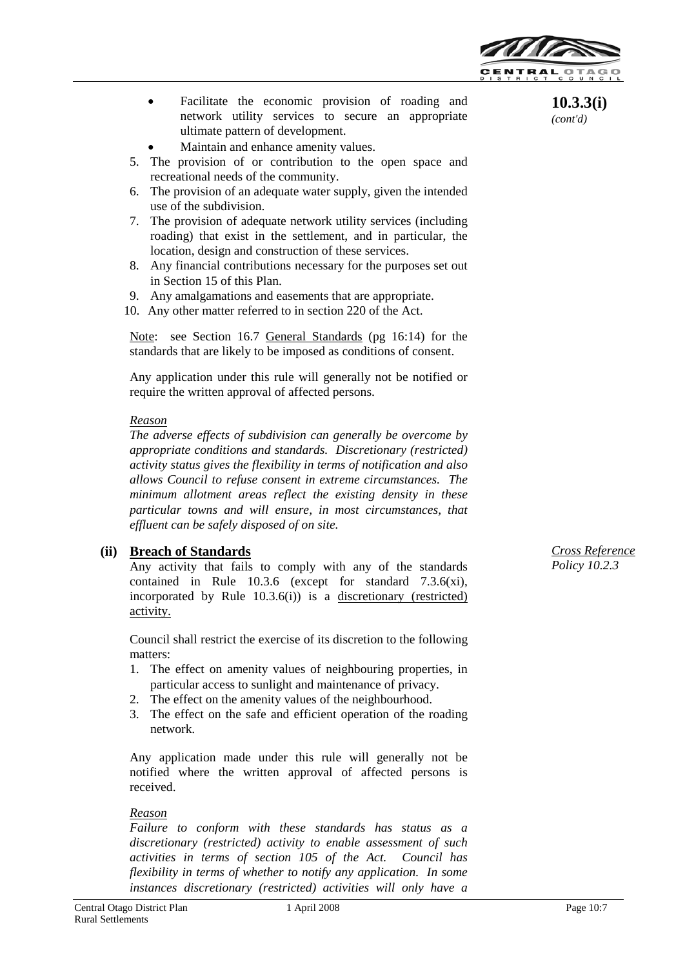

- Facilitate the economic provision of roading and network utility services to secure an appropriate ultimate pattern of development.
- Maintain and enhance amenity values.
- 5. The provision of or contribution to the open space and recreational needs of the community.
- 6. The provision of an adequate water supply, given the intended use of the subdivision.
- 7. The provision of adequate network utility services (including roading) that exist in the settlement, and in particular, the location, design and construction of these services.
- 8. Any financial contributions necessary for the purposes set out in Section 15 of this Plan.
- 9. Any amalgamations and easements that are appropriate.
- 10. Any other matter referred to in section 220 of the Act.

Note: see Section 16.7 General Standards (pg 16:14) for the standards that are likely to be imposed as conditions of consent.

Any application under this rule will generally not be notified or require the written approval of affected persons.

#### *Reason*

*The adverse effects of subdivision can generally be overcome by appropriate conditions and standards. Discretionary (restricted) activity status gives the flexibility in terms of notification and also allows Council to refuse consent in extreme circumstances. The minimum allotment areas reflect the existing density in these particular towns and will ensure, in most circumstances, that effluent can be safely disposed of on site.*

### **(ii) Breach of Standards**

Any activity that fails to comply with any of the standards contained in Rule 10.3.6 (except for standard 7.3.6(xi), incorporated by Rule 10.3.6(i)) is a discretionary (restricted) activity.

Council shall restrict the exercise of its discretion to the following matters:

- 1. The effect on amenity values of neighbouring properties, in particular access to sunlight and maintenance of privacy.
- 2. The effect on the amenity values of the neighbourhood.
- 3. The effect on the safe and efficient operation of the roading network.

Any application made under this rule will generally not be notified where the written approval of affected persons is received.

#### *Reason*

*Failure to conform with these standards has status as a discretionary (restricted) activity to enable assessment of such activities in terms of section 105 of the Act. Council has flexibility in terms of whether to notify any application. In some instances discretionary (restricted) activities will only have a* 

**10.3.3(i)** *(cont'd)*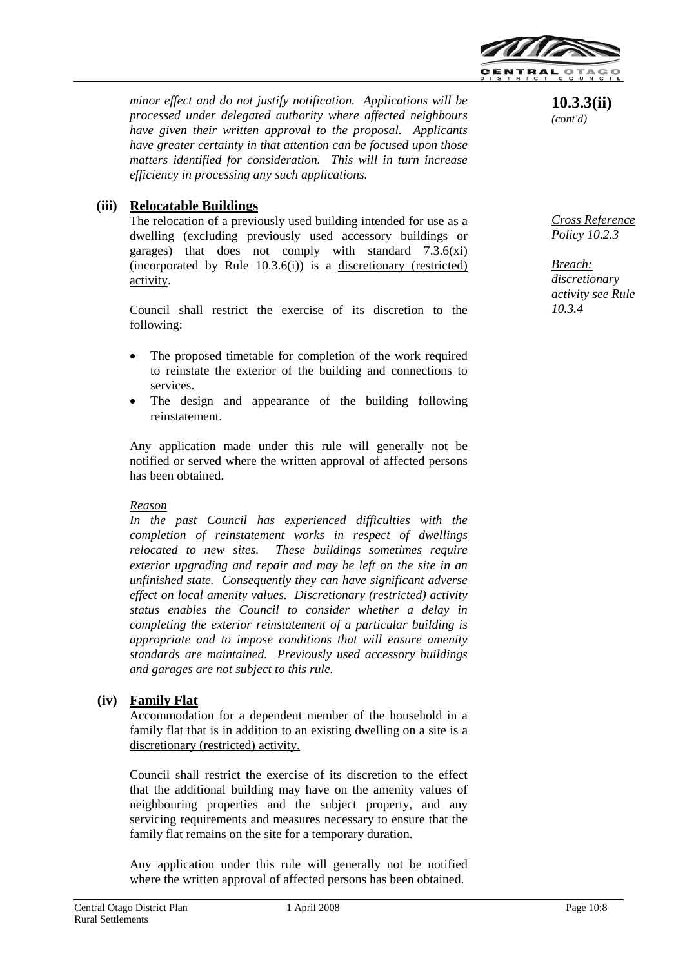

*minor effect and do not justify notification. Applications will be processed under delegated authority where affected neighbours have given their written approval to the proposal. Applicants have greater certainty in that attention can be focused upon those matters identified for consideration. This will in turn increase efficiency in processing any such applications.*

## **(iii) Relocatable Buildings**

The relocation of a previously used building intended for use as a dwelling (excluding previously used accessory buildings or garages) that does not comply with standard 7.3.6(xi) (incorporated by Rule 10.3.6(i)) is a discretionary (restricted) activity.

Council shall restrict the exercise of its discretion to the following:

- The proposed timetable for completion of the work required to reinstate the exterior of the building and connections to services.
- The design and appearance of the building following reinstatement.

Any application made under this rule will generally not be notified or served where the written approval of affected persons has been obtained.

#### *Reason*

*In the past Council has experienced difficulties with the completion of reinstatement works in respect of dwellings relocated to new sites. These buildings sometimes require exterior upgrading and repair and may be left on the site in an unfinished state. Consequently they can have significant adverse effect on local amenity values. Discretionary (restricted) activity status enables the Council to consider whether a delay in completing the exterior reinstatement of a particular building is appropriate and to impose conditions that will ensure amenity standards are maintained. Previously used accessory buildings and garages are not subject to this rule.*

#### **(iv) Family Flat**

Accommodation for a dependent member of the household in a family flat that is in addition to an existing dwelling on a site is a discretionary (restricted) activity.

Council shall restrict the exercise of its discretion to the effect that the additional building may have on the amenity values of neighbouring properties and the subject property, and any servicing requirements and measures necessary to ensure that the family flat remains on the site for a temporary duration.

Any application under this rule will generally not be notified where the written approval of affected persons has been obtained.



*Cross Reference Policy 10.2.3*

*Breach: discretionary activity see Rule 10.3.4*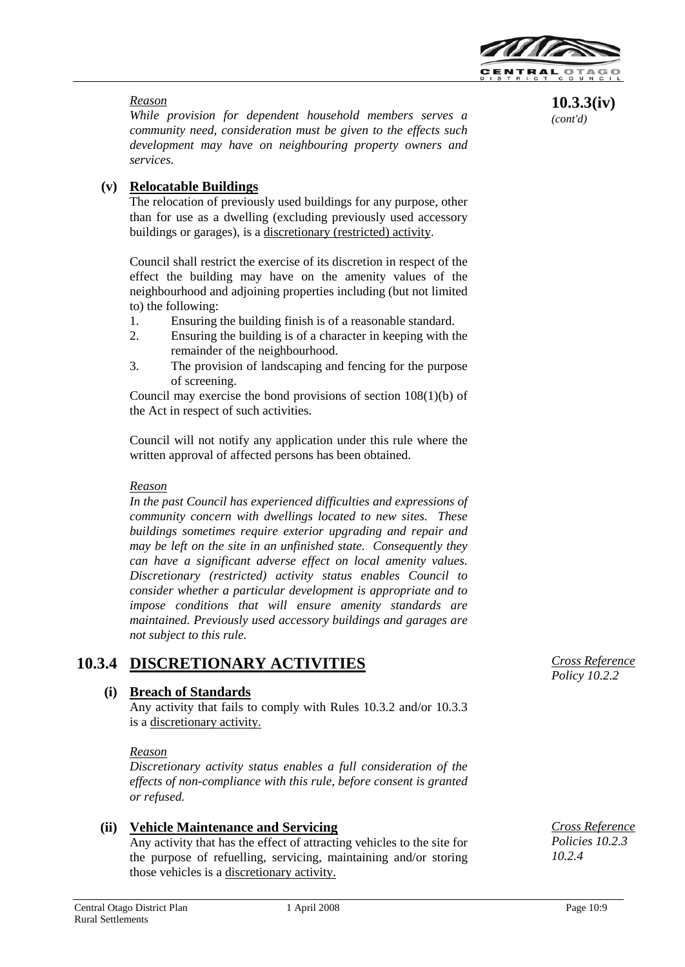

**10.3.3(iv)** *(cont'd)*

### *Reason*

*While provision for dependent household members serves a community need, consideration must be given to the effects such development may have on neighbouring property owners and services.*

## **(v) Relocatable Buildings**

The relocation of previously used buildings for any purpose, other than for use as a dwelling (excluding previously used accessory buildings or garages), is a discretionary (restricted) activity.

Council shall restrict the exercise of its discretion in respect of the effect the building may have on the amenity values of the neighbourhood and adjoining properties including (but not limited to) the following:

- 1. Ensuring the building finish is of a reasonable standard.
- 2. Ensuring the building is of a character in keeping with the remainder of the neighbourhood.
- 3. The provision of landscaping and fencing for the purpose of screening.

Council may exercise the bond provisions of section 108(1)(b) of the Act in respect of such activities.

Council will not notify any application under this rule where the written approval of affected persons has been obtained.

#### *Reason*

*In the past Council has experienced difficulties and expressions of community concern with dwellings located to new sites. These buildings sometimes require exterior upgrading and repair and may be left on the site in an unfinished state. Consequently they can have a significant adverse effect on local amenity values. Discretionary (restricted) activity status enables Council to consider whether a particular development is appropriate and to impose conditions that will ensure amenity standards are maintained. Previously used accessory buildings and garages are not subject to this rule.*

## **10.3.4 DISCRETIONARY ACTIVITIES**

### **(i) Breach of Standards**

Any activity that fails to comply with Rules 10.3.2 and/or 10.3.3 is a discretionary activity.

#### *Reason*

*Discretionary activity status enables a full consideration of the effects of non-compliance with this rule, before consent is granted or refused.*

### **(ii) Vehicle Maintenance and Servicing**

Any activity that has the effect of attracting vehicles to the site for the purpose of refuelling, servicing, maintaining and/or storing those vehicles is a discretionary activity.

*Cross Reference Policy 10.2.2*

*Cross Reference Policies 10.2.3 10.2.4*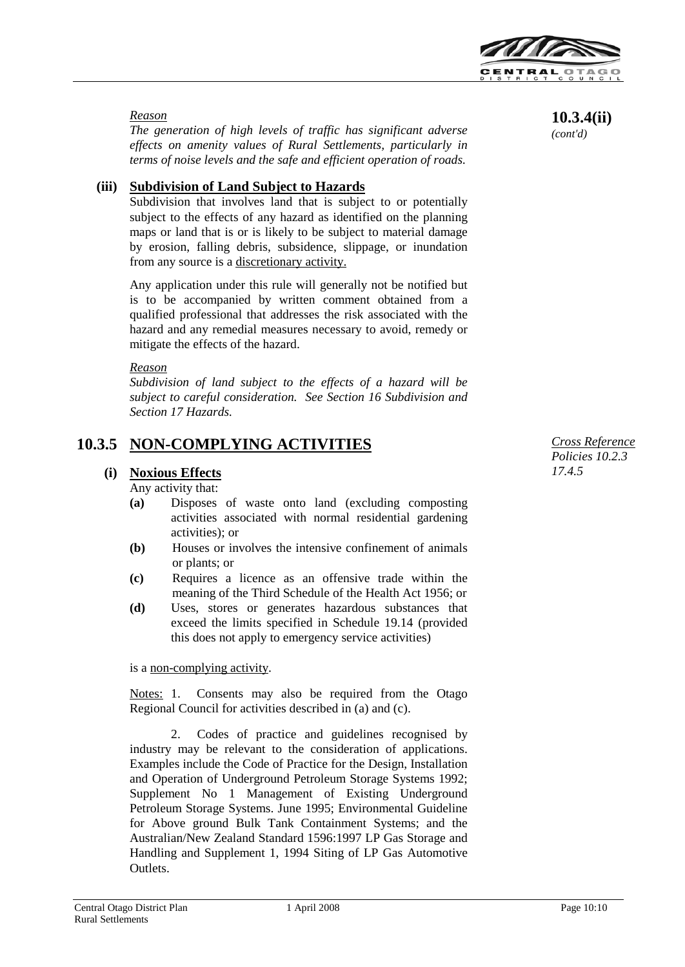

#### *Reason*

*The generation of high levels of traffic has significant adverse effects on amenity values of Rural Settlements, particularly in terms of noise levels and the safe and efficient operation of roads.*

## **(iii) Subdivision of Land Subject to Hazards**

Subdivision that involves land that is subject to or potentially subject to the effects of any hazard as identified on the planning maps or land that is or is likely to be subject to material damage by erosion, falling debris, subsidence, slippage, or inundation from any source is a discretionary activity.

Any application under this rule will generally not be notified but is to be accompanied by written comment obtained from a qualified professional that addresses the risk associated with the hazard and any remedial measures necessary to avoid, remedy or mitigate the effects of the hazard.

#### *Reason*

*Subdivision of land subject to the effects of a hazard will be subject to careful consideration. See Section 16 Subdivision and Section 17 Hazards.*

## **10.3.5 NON-COMPLYING ACTIVITIES**

### **(i) Noxious Effects**

Any activity that:

- **(a)** Disposes of waste onto land (excluding composting activities associated with normal residential gardening activities); or
- **(b)** Houses or involves the intensive confinement of animals or plants; or
- **(c)** Requires a licence as an offensive trade within the meaning of the Third Schedule of the Health Act 1956; or
- **(d)** Uses, stores or generates hazardous substances that exceed the limits specified in Schedule 19.14 (provided this does not apply to emergency service activities)

is a non-complying activity.

Notes: 1. Consents may also be required from the Otago Regional Council for activities described in (a) and (c).

2. Codes of practice and guidelines recognised by industry may be relevant to the consideration of applications. Examples include the Code of Practice for the Design, Installation and Operation of Underground Petroleum Storage Systems 1992; Supplement No 1 Management of Existing Underground Petroleum Storage Systems. June 1995; Environmental Guideline for Above ground Bulk Tank Containment Systems; and the Australian/New Zealand Standard 1596:1997 LP Gas Storage and Handling and Supplement 1, 1994 Siting of LP Gas Automotive Outlets.

 *Cross Reference Policies 10.2.3 17.4.5* 

*(cont'd)*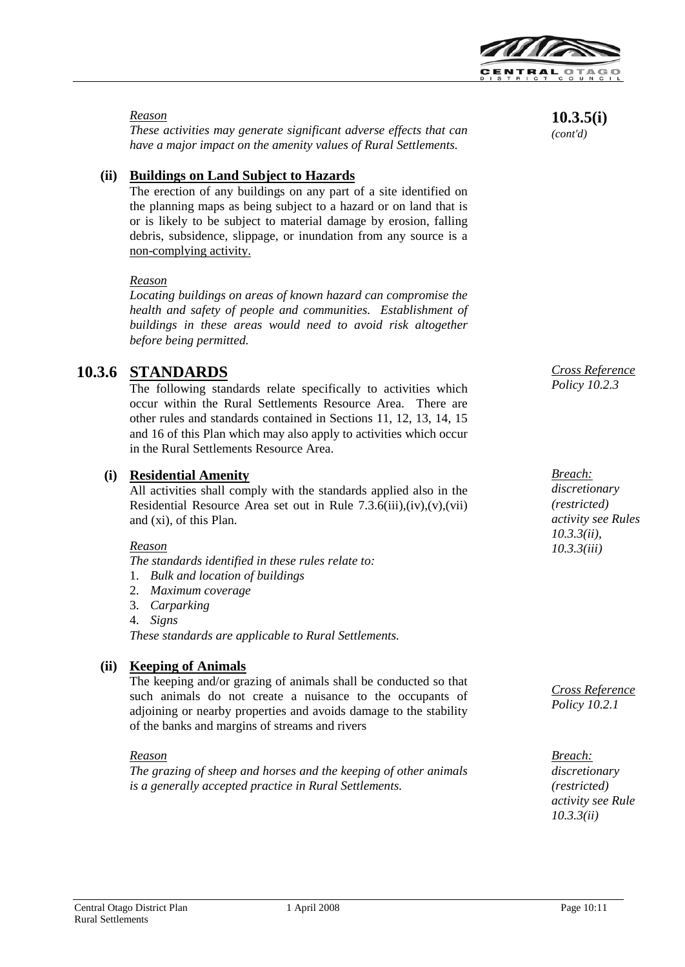

#### *Reason*

*These activities may generate significant adverse effects that can have a major impact on the amenity values of Rural Settlements.*

## **(ii) Buildings on Land Subject to Hazards**

The erection of any buildings on any part of a site identified on the planning maps as being subject to a hazard or on land that is or is likely to be subject to material damage by erosion, falling debris, subsidence, slippage, or inundation from any source is a non-complying activity.

#### *Reason*

*Locating buildings on areas of known hazard can compromise the health and safety of people and communities. Establishment of buildings in these areas would need to avoid risk altogether before being permitted.*

## **10.3.6 STANDARDS**

The following standards relate specifically to activities which occur within the Rural Settlements Resource Area. There are other rules and standards contained in Sections 11, 12, 13, 14, 15 and 16 of this Plan which may also apply to activities which occur in the Rural Settlements Resource Area.

## **(i) Residential Amenity**

All activities shall comply with the standards applied also in the Residential Resource Area set out in Rule  $7.3.6(iii),(iv),(v),(vii)$ and (xi), of this Plan.

#### *Reason*

*The standards identified in these rules relate to:*

- 1. *Bulk and location of buildings*
- 2. *Maximum coverage*
- 3. *Carparking*
- 4. *Signs*

*These standards are applicable to Rural Settlements.*

## **(ii) Keeping of Animals**

The keeping and/or grazing of animals shall be conducted so that such animals do not create a nuisance to the occupants of adjoining or nearby properties and avoids damage to the stability of the banks and margins of streams and rivers

#### *Reason*

*The grazing of sheep and horses and the keeping of other animals is a generally accepted practice in Rural Settlements.*

**10.3.5(i)**

*(cont'd)*

*Cross Reference Policy 10.2.3*

*Breach: discretionary (restricted) activity see Rules 10.3.3(ii), 10.3.3(iii)*

*Cross Reference Policy 10.2.1*

*Breach: discretionary (restricted) activity see Rule 10.3.3(ii)*